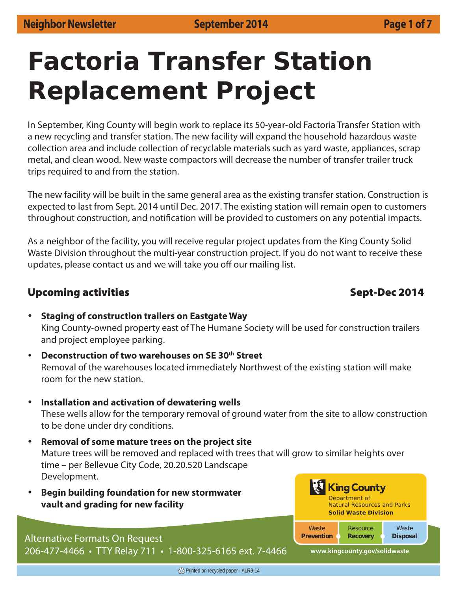# **Factoria Transfer Station Replacement Project**

In September, King County will begin work to replace its 50-year-old Factoria Transfer Station with a new recycling and transfer station. The new facility will expand the household hazardous waste collection area and include collection of recyclable materials such as yard waste, appliances, scrap metal, and clean wood. New waste compactors will decrease the number of transfer trailer truck trips required to and from the station.

The new facility will be built in the same general area as the existing transfer station. Construction is expected to last from Sept. 2014 until Dec. 2017. The existing station will remain open to customers throughout construction, and notification will be provided to customers on any potential impacts.

As a neighbor of the facility, you will receive regular project updates from the King County Solid Waste Division throughout the multi-year construction project. If you do not want to receive these updates, please contact us and we will take you off our mailing list.

### **Upcoming activities and the sept-Dec 2014**

### % **Staging of construction trailers on Eastgate Way** King County-owned property east of The Humane Society will be used for construction trailers and project employee parking.

- **Deconstruction of two warehouses on SE 30th Street** Removal of the warehouses located immediately Northwest of the existing station will make room for the new station.
- **Installation and activation of dewatering wells** These wells allow for the temporary removal of ground water from the site to allow construction to be done under dry conditions.
- % **Removal of some mature trees on the project site** Mature trees will be removed and replaced with trees that will grow to similar heights over time – per Bellevue City Code, 20.20.520 Landscape Development. King County
- **Begin building foundation for new stormwater vault and grading for new facility**

## Alternative Formats On Request

206-477-4466 • TTY Relay 711 • 1-800-325-6165 ext. 7-4466

**www.kingcounty.gov/solidwaste**

*Resource*  **Recovery** 

Natural Resources and Parks **Solid Waste Division**

Department of

*Waste* **Disposal**

*Waste* **Prevention**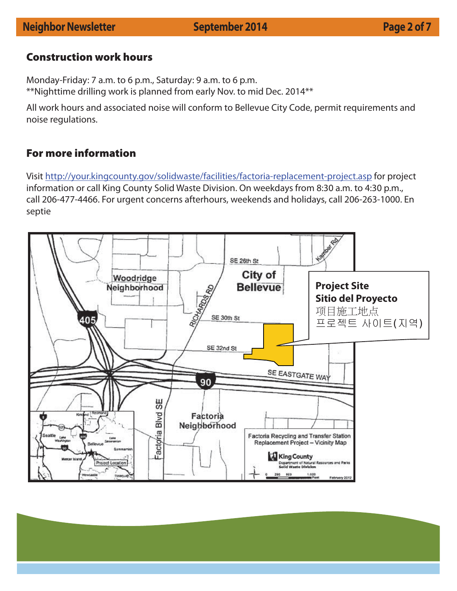### **Neighbor Newsletter September 2014 Page 2 of 7**

### **Construction work hours**

Monday-Friday: 7 a.m. to 6 p.m., Saturday: 9 a.m. to 6 p.m. \*\*Nighttime drilling work is planned from early Nov. to mid Dec. 2014\*\*

All work hours and associated noise will conform to Bellevue City Code, permit requirements and noise regulations.

### **For more information**

Visit http://your.kingcounty.gov/solidwaste/facilities/factoria-replacement-project.asp for project information or call King County Solid Waste Division. On weekdays from 8:30 a.m. to 4:30 p.m., call 206-477-4466. For urgent concerns afterhours, weekends and holidays, call 206-263-1000. En septie

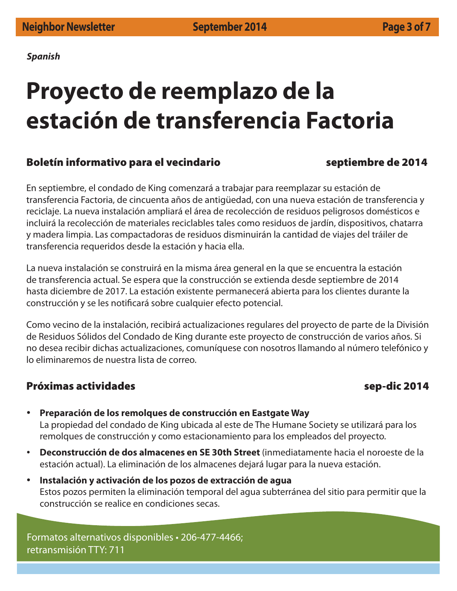*Spanish*

## **Proyecto de reemplazo de la estación de transferencia Factoria**

### **Boletín informativo para el vecindario septiembre de 2014**

En septiembre, el condado de King comenzará a trabajar para reemplazar su estación de transferencia Factoria, de cincuenta años de antigüedad, con una nueva estación de transferencia y reciclaje. La nueva instalación ampliará el área de recolección de residuos peligrosos domésticos e incluirá la recolección de materiales reciclables tales como residuos de jardín, dispositivos, chatarra y madera limpia. Las compactadoras de residuos disminuirán la cantidad de viajes del tráiler de transferencia requeridos desde la estación y hacia ella.

La nueva instalación se construirá en la misma área general en la que se encuentra la estación de transferencia actual. Se espera que la construcción se extienda desde septiembre de 2014 hasta diciembre de 2017. La estación existente permanecerá abierta para los clientes durante la construcción y se les notificará sobre cualquier efecto potencial.

Como vecino de la instalación, recibirá actualizaciones regulares del proyecto de parte de la División de Residuos Sólidos del Condado de King durante este proyecto de construcción de varios años. Si no desea recibir dichas actualizaciones, comuníquese con nosotros llamando al número telefónico y lo eliminaremos de nuestra lista de correo.

### **Próximas actividades sep-dic 2014**

- % **Preparación de los remolques de construcción en Eastgate Way** La propiedad del condado de King ubicada al este de The Humane Society se utilizará para los remolques de construcción y como estacionamiento para los empleados del proyecto.
- % **Deconstrucción de dos almacenes en SE 30th Street** (inmediatamente hacia el noroeste de la estación actual). La eliminación de los almacenes dejará lugar para la nueva estación.
- % **Instalación y activación de los pozos de extracción de agua** Estos pozos permiten la eliminación temporal del agua subterránea del sitio para permitir que la construcción se realice en condiciones secas.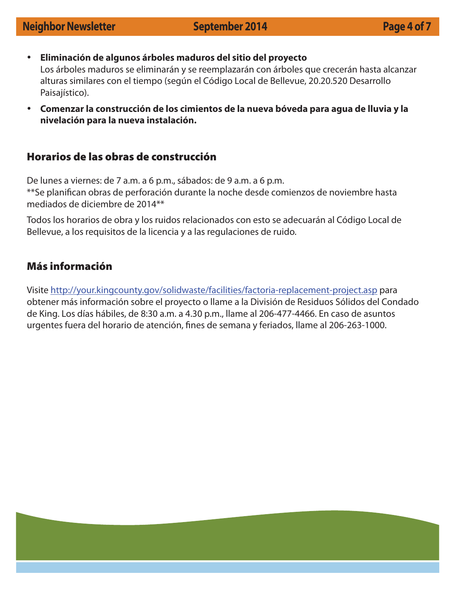- % **Eliminación de algunos árboles maduros del sitio del proyecto** Los árboles maduros se eliminarán y se reemplazarán con árboles que crecerán hasta alcanzar alturas similares con el tiempo (según el Código Local de Bellevue, 20.20.520 Desarrollo Paisajístico).
- % **Comenzar la construcción de los cimientos de la nueva bóveda para agua de lluvia y la nivelación para la nueva instalación.**

### **Horarios de las obras de construcción**

De lunes a viernes: de 7 a.m. a 6 p.m., sábados: de 9 a.m. a 6 p.m. \*\*Se planifican obras de perforación durante la noche desde comienzos de noviembre hasta mediados de diciembre de 2014\*\*

Todos los horarios de obra y los ruidos relacionados con esto se adecuarán al Código Local de Bellevue, a los requisitos de la licencia y a las regulaciones de ruido.

### **Más información**

Visite http://your.kingcounty.gov/solidwaste/facilities/factoria-replacement-project.asp para obtener más información sobre el proyecto o llame a la División de Residuos Sólidos del Condado de King. Los días hábiles, de 8:30 a.m. a 4.30 p.m., llame al 206-477-4466. En caso de asuntos urgentes fuera del horario de atención, fines de semana y feriados, llame al 206-263-1000.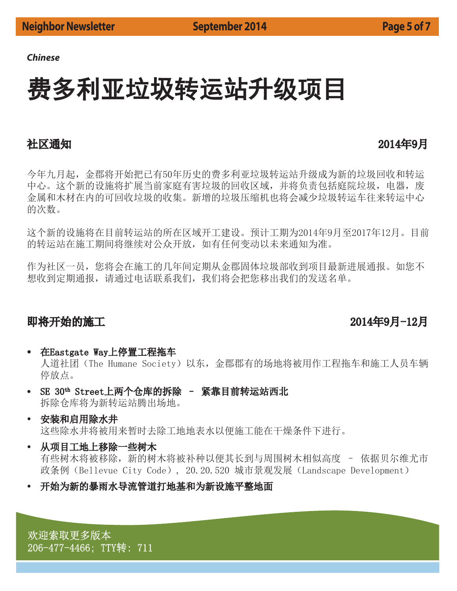### *Chinese*

## 费多利亚垃圾转运站升级项目

### 社区通知 しょうかん しょうかん しゅうしゃ おおや おおや 2014年9月

今年九月起, 金郡将开始把己有50年历史的费多利亚垃圾转运站升级成为新的垃圾回收和转运 中心。这个新的设施将扩展当前家庭有害垃圾的回收区域,并将负责包括庭院垃圾,电器,废 金属和木材在内的可回收垃圾的收集。新增的垃圾压缩机也将会减少垃圾转运车往来转运中心 的次数。

这个新的设施将在目前转运站的所在区域开工建设。预计工期为2014年9月至2017年12月。目前 的转运站在施工期间将继续对公众开放,如有任何变动以未来通知为准。

作为社区一员,您将会在施工的几年间定期从金郡固体垃圾部收到项目最新进展通报。如您不 想收到定期通报,请通过电话联系我们,我们将会把您移出我们的发送名单。

### ণሶᔰⲴᯭᐕ ᒤᴸᴸ

- 在Eastgate Way上停置工程拖车 人道社团 (The Humane Society) 以东, 金郡郡有的场地将被用作工程拖车和施工人员车辆 停放点。
- SE 30th Street上两个仓库的拆除 紧靠目前转运站西北 拆除仓库将为新转运站腾出场地。
- **←安装和启用除水井** 这些除水井将被用来暂时去除工地地表水以便施工能在干燥条件下进行。
- 从项目工地上移除一些树木

有些树木将被除, 新的树木将被补种以便其长到与周围树木相似高度 - 依据贝尔维尤市 政条例 (Bellevue City Code), 20.20.520 城市景观发展 (Landscape Development)

开始为新的暴雨水导流管道打地基和为新设施平整地面

欢迎索取更多版本 206-477-4466; TTY转: 711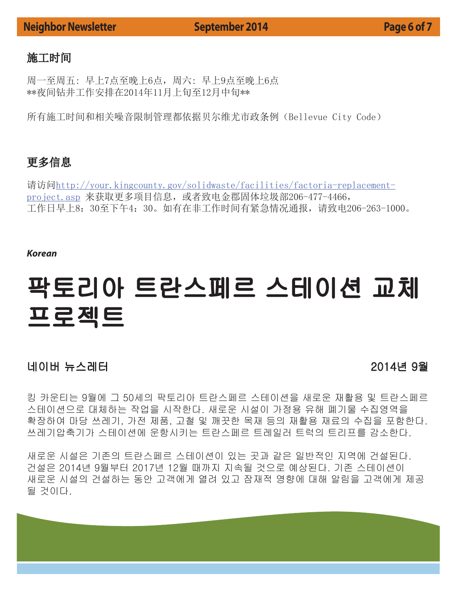### **Neighbor Newsletter September 2014 Page 6 of 7**

### 施工时间

周一至周五: 早上7点至晚上6点 \*\*夜间钻井工作安排在2014年11月上旬至12月中旬\*\*

所有施工时间和相关噪音限制管理都依据贝尔维尤市政条例 (Bellevue City Code)

### 更多信息

请访问http://your.kingcounty.gov/solidwaste/facilities/factoria-replacementproject. asp 来获取更多项目信息, 或者致电金郡固体垃圾部206-477-4466, 工作日早上8: 30至下午4: 30。如有在非工作时间有紧急情况通报,请致电206-263-1000。

### *Korean*

## 팍토리아 트란스페르 스테이션 교체 프로젝트

### ≘㢨ⶸG⎨㏘⤼䉤G G GGGGGGGGGGYWX[≸G`㠈

킹 카운티는 9월에 그 50세의 팍토리아 트란스페르 스테이션을 새로운 재활용 및 트란스페르 스테이션으로 대체하는 작업을 시작한다. 새로운 시설이 가정용 유해 폐기물 수집영역을 확장하여 마당 쓰레기, 가전 제품, 고철 및 깨끗한 목재 등의 재활용 재료의 수집을 포함한다. 쓰레기압축기가 스테이션에 운항시키는 트란스페르 트레일러 트럭의 트리프를 감소한다.

새로운 시설은 기존의 트란스페르 스테이션이 있는 곳과 같은 일반적인 지역에 건설된다. 건설은 2014년 9월부터 2017년 12월 때까지 지속될 것으로 예상된다. 기존 스테이션이 새로운 시설의 건설하는 동안 고객에게 열려 있고 잠재적 영향에 대해 알림을 고객에게 제공 될 것이다.